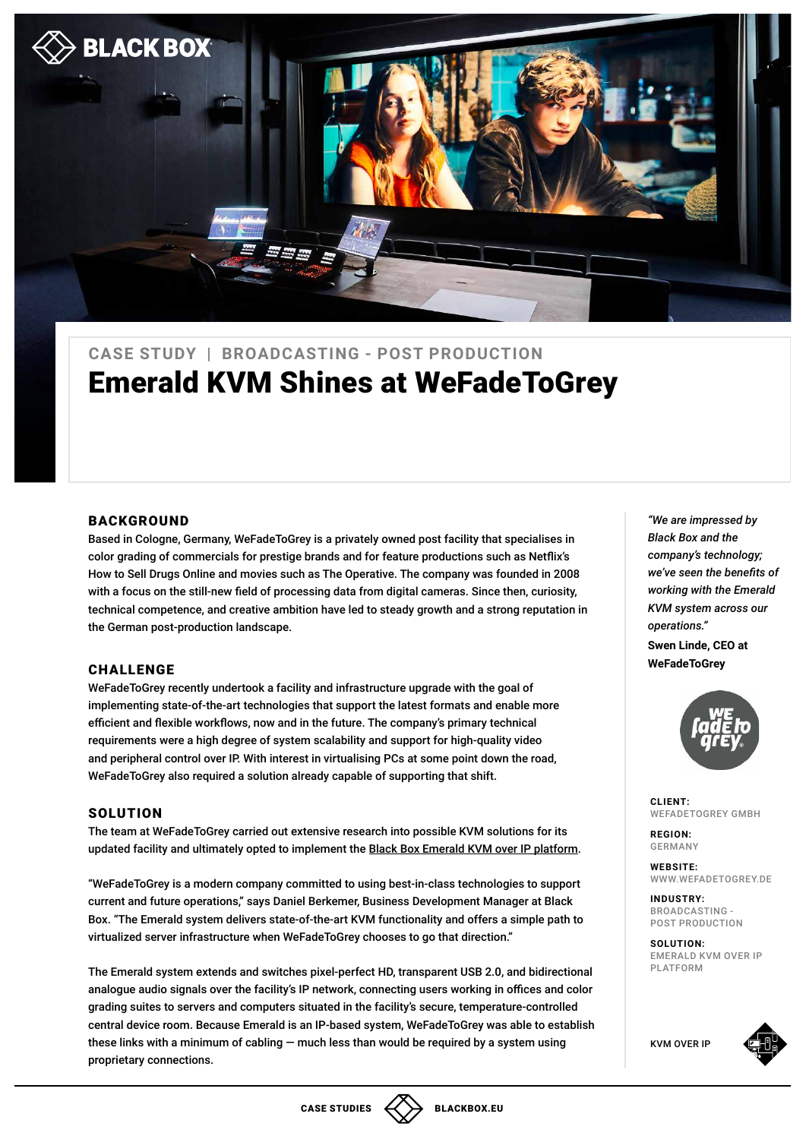

# Emerald KVM Shines at WeFadeToGrey **CASE STUDY | BROADCASTING - POST PRODUCTION**

### BACKGROUND

Based in Cologne, Germany, WeFadeToGrey is a privately owned post facility that specialises in color grading of commercials for prestige brands and for feature productions such as Netflix's How to Sell Drugs Online and movies such as The Operative. The company was founded in 2008 with a focus on the still-new field of processing data from digital cameras. Since then, curiosity, technical competence, and creative ambition have led to steady growth and a strong reputation in the German post-production landscape.

#### CHALLENGE

WeFadeToGrey recently undertook a facility and infrastructure upgrade with the goal of implementing state-of-the-art technologies that support the latest formats and enable more efficient and flexible workflows, now and in the future. The company's primary technical requirements were a high degree of system scalability and support for high-quality video and peripheral control over IP. With interest in virtualising PCs at some point down the road, WeFadeToGrey also required a solution already capable of supporting that shift.

#### **SOLUTION**

The team at WeFadeToGrey carried out extensive research into possible KVM solutions for its updated facility and ultimately opted to implement the [Black Box Emerald KVM over IP platform](https://www.blackbox.com/goto/emerald).

"WeFadeToGrey is a modern company committed to using best-in-class technologies to support current and future operations," says Daniel Berkemer, Business Development Manager at Black Box. "The Emerald system delivers state-of-the-art KVM functionality and offers a simple path to virtualized server infrastructure when WeFadeToGrey chooses to go that direction."

The Emerald system extends and switches pixel-perfect HD, transparent USB 2.0, and bidirectional analogue audio signals over the facility's IP network, connecting users working in offices and color grading suites to servers and computers situated in the facility's secure, temperature-controlled central device room. Because Emerald is an IP-based system, WeFadeToGrey was able to establish these links with a minimum of cabling — much less than would be required by a system using proprietary connections.

*"We are impressed by Black Box and the company's technology; we've seen the benefits of working with the Emerald KVM system across our operations."* 

**Swen Linde, CEO at WeFadeToGrey**



**CLIENT:**  WEFADETOGREY GMBH

**FEGION: FEGION:** GERMANY

> **WEBSITE:**  [WWW.WEFADETOGREY.DE](http://www.wefadetogrey.de)

**PUBLIC STATE STATE STATE STATE STATE STATE STATE STATE STATE STATE STATE STATE STATE STATE STATE STATE STATE STATE** BROADCASTING - POST PRODUCTION

> SOLUTION: [EMERALD KVM OVER IP](https://www.blackbox.com/goto/emerald)  [PLATFORM](https://www.blackbox.com/goto/emerald)

[KVM OVER IP](https://www.blackbox.com/goto/emerald)